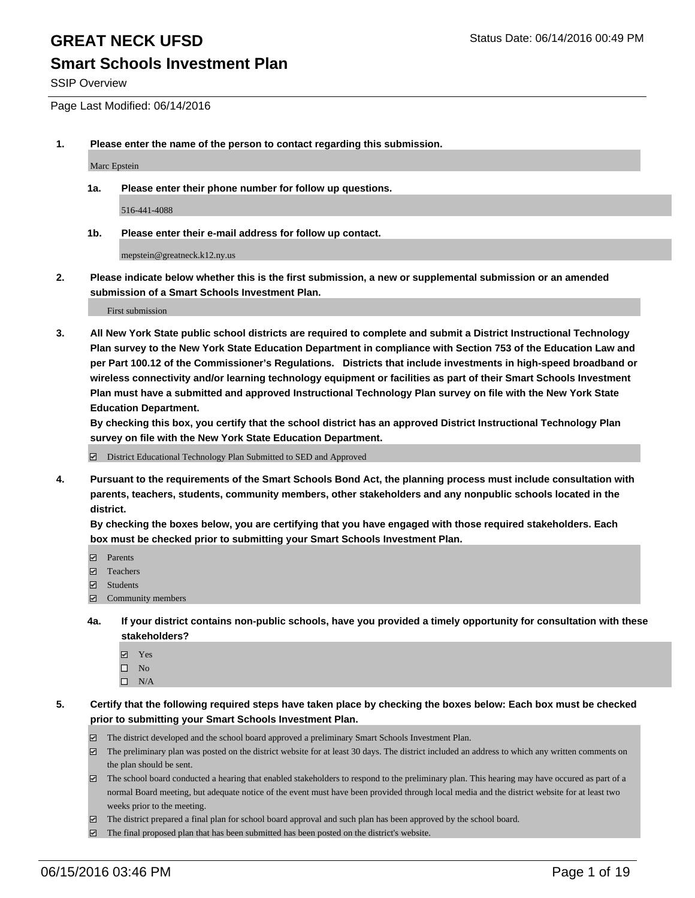### **Smart Schools Investment Plan**

SSIP Overview

Page Last Modified: 06/14/2016

**1. Please enter the name of the person to contact regarding this submission.**

Marc Epstein

**1a. Please enter their phone number for follow up questions.**

516-441-4088

**1b. Please enter their e-mail address for follow up contact.**

mepstein@greatneck.k12.ny.us

**2. Please indicate below whether this is the first submission, a new or supplemental submission or an amended submission of a Smart Schools Investment Plan.**

First submission

**3. All New York State public school districts are required to complete and submit a District Instructional Technology Plan survey to the New York State Education Department in compliance with Section 753 of the Education Law and per Part 100.12 of the Commissioner's Regulations. Districts that include investments in high-speed broadband or wireless connectivity and/or learning technology equipment or facilities as part of their Smart Schools Investment Plan must have a submitted and approved Instructional Technology Plan survey on file with the New York State Education Department.** 

**By checking this box, you certify that the school district has an approved District Instructional Technology Plan survey on file with the New York State Education Department.**

District Educational Technology Plan Submitted to SED and Approved

**4. Pursuant to the requirements of the Smart Schools Bond Act, the planning process must include consultation with parents, teachers, students, community members, other stakeholders and any nonpublic schools located in the district.** 

**By checking the boxes below, you are certifying that you have engaged with those required stakeholders. Each box must be checked prior to submitting your Smart Schools Investment Plan.**

- **Parents**
- Teachers
- Students
- Community members
- **4a. If your district contains non-public schools, have you provided a timely opportunity for consultation with these stakeholders?**
	- Yes  $\square$  No
	- $\square$  N/A
- **5. Certify that the following required steps have taken place by checking the boxes below: Each box must be checked prior to submitting your Smart Schools Investment Plan.**
	- The district developed and the school board approved a preliminary Smart Schools Investment Plan.
	- $\Box$  The preliminary plan was posted on the district website for at least 30 days. The district included an address to which any written comments on the plan should be sent.
	- $\Box$  The school board conducted a hearing that enabled stakeholders to respond to the preliminary plan. This hearing may have occured as part of a normal Board meeting, but adequate notice of the event must have been provided through local media and the district website for at least two weeks prior to the meeting.
	- The district prepared a final plan for school board approval and such plan has been approved by the school board.
	- $\boxdot$  The final proposed plan that has been submitted has been posted on the district's website.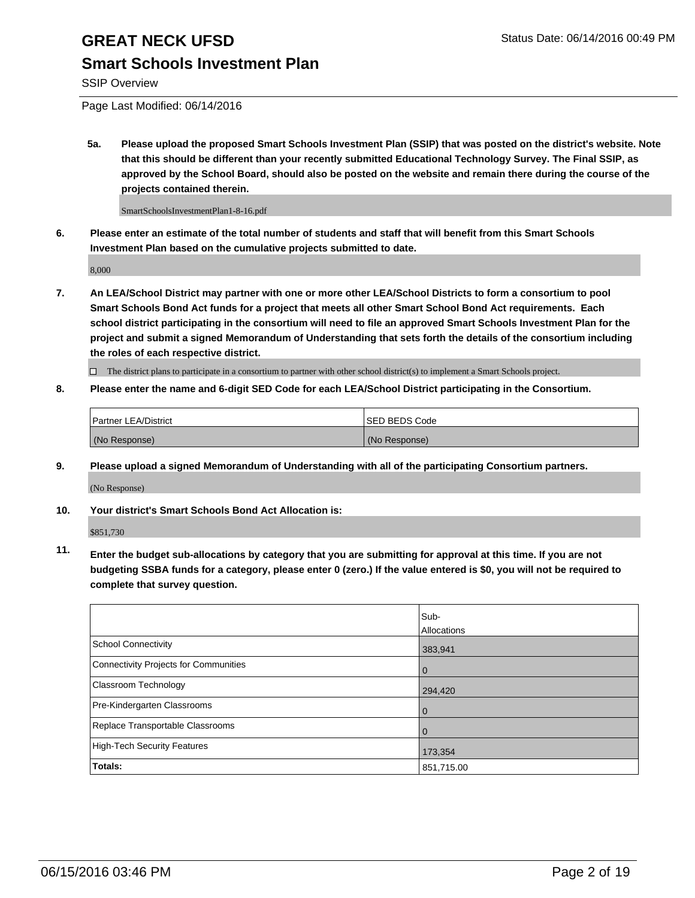### **Smart Schools Investment Plan**

SSIP Overview

Page Last Modified: 06/14/2016

**5a. Please upload the proposed Smart Schools Investment Plan (SSIP) that was posted on the district's website. Note that this should be different than your recently submitted Educational Technology Survey. The Final SSIP, as approved by the School Board, should also be posted on the website and remain there during the course of the projects contained therein.**

SmartSchoolsInvestmentPlan1-8-16.pdf

**6. Please enter an estimate of the total number of students and staff that will benefit from this Smart Schools Investment Plan based on the cumulative projects submitted to date.**

8,000

**7. An LEA/School District may partner with one or more other LEA/School Districts to form a consortium to pool Smart Schools Bond Act funds for a project that meets all other Smart School Bond Act requirements. Each school district participating in the consortium will need to file an approved Smart Schools Investment Plan for the project and submit a signed Memorandum of Understanding that sets forth the details of the consortium including the roles of each respective district.**

 $\Box$  The district plans to participate in a consortium to partner with other school district(s) to implement a Smart Schools project.

**8. Please enter the name and 6-digit SED Code for each LEA/School District participating in the Consortium.**

| Partner LEA/District | ISED BEDS Code |
|----------------------|----------------|
| (No Response)        | (No Response)  |

**9. Please upload a signed Memorandum of Understanding with all of the participating Consortium partners.**

(No Response)

**10. Your district's Smart Schools Bond Act Allocation is:**

\$851,730

**11. Enter the budget sub-allocations by category that you are submitting for approval at this time. If you are not budgeting SSBA funds for a category, please enter 0 (zero.) If the value entered is \$0, you will not be required to complete that survey question.**

|                                       | Sub-        |
|---------------------------------------|-------------|
|                                       | Allocations |
| <b>School Connectivity</b>            | 383,941     |
| Connectivity Projects for Communities | $\Omega$    |
| Classroom Technology                  | 294,420     |
| Pre-Kindergarten Classrooms           | $\Omega$    |
| Replace Transportable Classrooms      | $\Omega$    |
| High-Tech Security Features           | 173,354     |
| <b>Totals:</b>                        | 851,715.00  |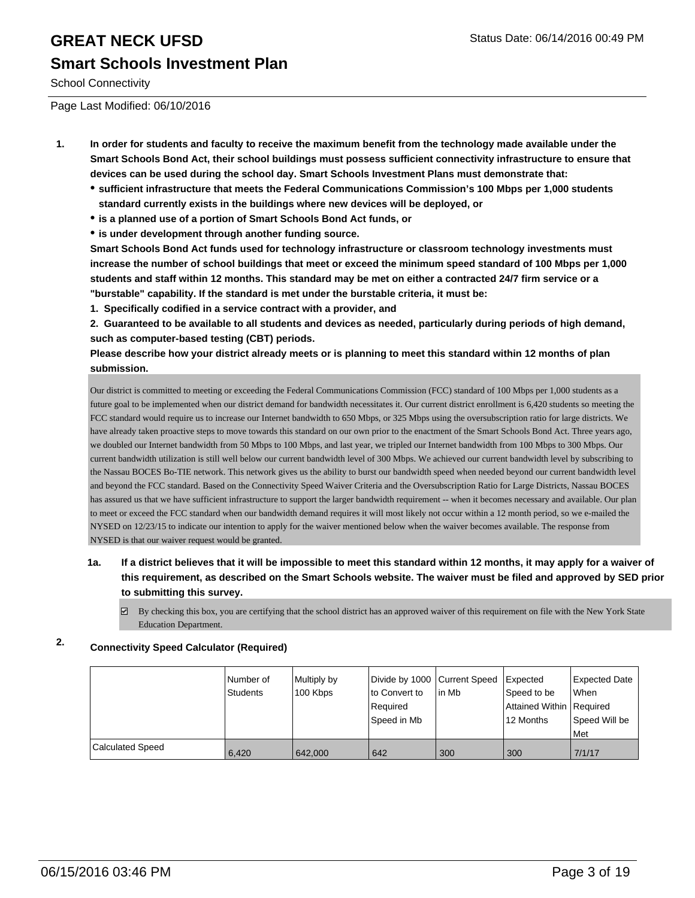School Connectivity

Page Last Modified: 06/10/2016

- **1. In order for students and faculty to receive the maximum benefit from the technology made available under the Smart Schools Bond Act, their school buildings must possess sufficient connectivity infrastructure to ensure that devices can be used during the school day. Smart Schools Investment Plans must demonstrate that:**
	- **sufficient infrastructure that meets the Federal Communications Commission's 100 Mbps per 1,000 students standard currently exists in the buildings where new devices will be deployed, or**
	- **is a planned use of a portion of Smart Schools Bond Act funds, or**
	- **is under development through another funding source.**

**Smart Schools Bond Act funds used for technology infrastructure or classroom technology investments must increase the number of school buildings that meet or exceed the minimum speed standard of 100 Mbps per 1,000 students and staff within 12 months. This standard may be met on either a contracted 24/7 firm service or a "burstable" capability. If the standard is met under the burstable criteria, it must be:**

**1. Specifically codified in a service contract with a provider, and**

**2. Guaranteed to be available to all students and devices as needed, particularly during periods of high demand, such as computer-based testing (CBT) periods.**

**Please describe how your district already meets or is planning to meet this standard within 12 months of plan submission.**

Our district is committed to meeting or exceeding the Federal Communications Commission (FCC) standard of 100 Mbps per 1,000 students as a future goal to be implemented when our district demand for bandwidth necessitates it. Our current district enrollment is 6,420 students so meeting the FCC standard would require us to increase our Internet bandwidth to 650 Mbps, or 325 Mbps using the oversubscription ratio for large districts. We have already taken proactive steps to move towards this standard on our own prior to the enactment of the Smart Schools Bond Act. Three years ago, we doubled our Internet bandwidth from 50 Mbps to 100 Mbps, and last year, we tripled our Internet bandwidth from 100 Mbps to 300 Mbps. Our current bandwidth utilization is still well below our current bandwidth level of 300 Mbps. We achieved our current bandwidth level by subscribing to the Nassau BOCES Bo-TIE network. This network gives us the ability to burst our bandwidth speed when needed beyond our current bandwidth level and beyond the FCC standard. Based on the Connectivity Speed Waiver Criteria and the Oversubscription Ratio for Large Districts, Nassau BOCES has assured us that we have sufficient infrastructure to support the larger bandwidth requirement -- when it becomes necessary and available. Our plan to meet or exceed the FCC standard when our bandwidth demand requires it will most likely not occur within a 12 month period, so we e-mailed the NYSED on 12/23/15 to indicate our intention to apply for the waiver mentioned below when the waiver becomes available. The response from NYSED is that our waiver request would be granted.

**1a. If a district believes that it will be impossible to meet this standard within 12 months, it may apply for a waiver of this requirement, as described on the Smart Schools website. The waiver must be filed and approved by SED prior to submitting this survey.**

 $\boxtimes$  By checking this box, you are certifying that the school district has an approved waiver of this requirement on file with the New York State Education Department.

### **2. Connectivity Speed Calculator (Required)**

|                         | Number of | Multiply by | Divide by 1000 Current Speed |        | Expected                   | <b>Expected Date</b> |
|-------------------------|-----------|-------------|------------------------------|--------|----------------------------|----------------------|
|                         | Students  | 100 Kbps    | to Convert to                | lin Mb | Speed to be                | lWhen                |
|                         |           |             | Required                     |        | Attained Within   Required |                      |
|                         |           |             | lSpeed in Mb                 |        | 12 Months                  | Speed Will be        |
|                         |           |             |                              |        |                            | l Met                |
| <b>Calculated Speed</b> | 6.420     | 642.000     | 642                          | 300    | 300                        | 7/1/17               |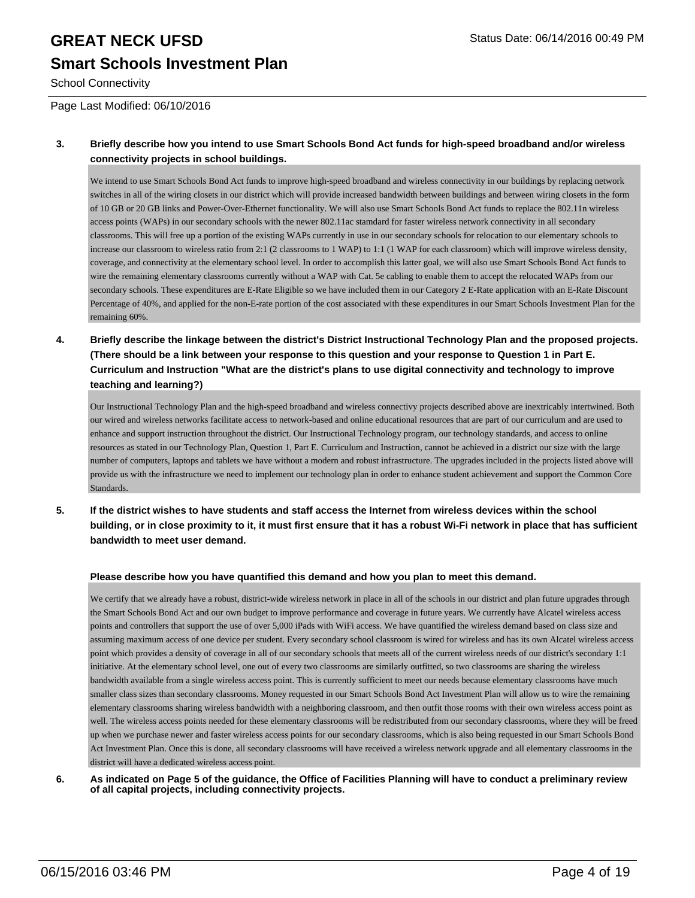School Connectivity

Page Last Modified: 06/10/2016

#### **3. Briefly describe how you intend to use Smart Schools Bond Act funds for high-speed broadband and/or wireless connectivity projects in school buildings.**

We intend to use Smart Schools Bond Act funds to improve high-speed broadband and wireless connectivity in our buildings by replacing network switches in all of the wiring closets in our district which will provide increased bandwidth between buildings and between wiring closets in the form of 10 GB or 20 GB links and Power-Over-Ethernet functionality. We will also use Smart Schools Bond Act funds to replace the 802.11n wireless access points (WAPs) in our secondary schools with the newer 802.11ac stamdard for faster wireless network connectivity in all secondary classrooms. This will free up a portion of the existing WAPs currently in use in our secondary schools for relocation to our elementary schools to increase our classroom to wireless ratio from 2:1 (2 classrooms to 1 WAP) to 1:1 (1 WAP for each classroom) which will improve wireless density, coverage, and connectivity at the elementary school level. In order to accomplish this latter goal, we will also use Smart Schools Bond Act funds to wire the remaining elementary classrooms currently without a WAP with Cat. 5e cabling to enable them to accept the relocated WAPs from our secondary schools. These expenditures are E-Rate Eligible so we have included them in our Category 2 E-Rate application with an E-Rate Discount Percentage of 40%, and applied for the non-E-rate portion of the cost associated with these expenditures in our Smart Schools Investment Plan for the remaining 60%.

**4. Briefly describe the linkage between the district's District Instructional Technology Plan and the proposed projects. (There should be a link between your response to this question and your response to Question 1 in Part E. Curriculum and Instruction "What are the district's plans to use digital connectivity and technology to improve teaching and learning?)**

Our Instructional Technology Plan and the high-speed broadband and wireless connectivy projects described above are inextricably intertwined. Both our wired and wireless networks facilitate access to network-based and online educational resources that are part of our curriculum and are used to enhance and support instruction throughout the district. Our Instructional Technology program, our technology standards, and access to online resources as stated in our Technology Plan, Question 1, Part E. Curriculum and Instruction, cannot be achieved in a district our size with the large number of computers, laptops and tablets we have without a modern and robust infrastructure. The upgrades included in the projects listed above will provide us with the infrastructure we need to implement our technology plan in order to enhance student achievement and support the Common Core **Standards** 

**5. If the district wishes to have students and staff access the Internet from wireless devices within the school building, or in close proximity to it, it must first ensure that it has a robust Wi-Fi network in place that has sufficient bandwidth to meet user demand.**

#### **Please describe how you have quantified this demand and how you plan to meet this demand.**

We certify that we already have a robust, district-wide wireless network in place in all of the schools in our district and plan future upgrades through the Smart Schools Bond Act and our own budget to improve performance and coverage in future years. We currently have Alcatel wireless access points and controllers that support the use of over 5,000 iPads with WiFi access. We have quantified the wireless demand based on class size and assuming maximum access of one device per student. Every secondary school classroom is wired for wireless and has its own Alcatel wireless access point which provides a density of coverage in all of our secondary schools that meets all of the current wireless needs of our district's secondary 1:1 initiative. At the elementary school level, one out of every two classrooms are similarly outfitted, so two classrooms are sharing the wireless bandwidth available from a single wireless access point. This is currently sufficient to meet our needs because elementary classrooms have much smaller class sizes than secondary classrooms. Money requested in our Smart Schools Bond Act Investment Plan will allow us to wire the remaining elementary classrooms sharing wireless bandwidth with a neighboring classroom, and then outfit those rooms with their own wireless access point as well. The wireless access points needed for these elementary classrooms will be redistributed from our secondary classrooms, where they will be freed up when we purchase newer and faster wireless access points for our secondary classrooms, which is also being requested in our Smart Schools Bond Act Investment Plan. Once this is done, all secondary classrooms will have received a wireless network upgrade and all elementary classrooms in the district will have a dedicated wireless access point.

**6. As indicated on Page 5 of the guidance, the Office of Facilities Planning will have to conduct a preliminary review of all capital projects, including connectivity projects.**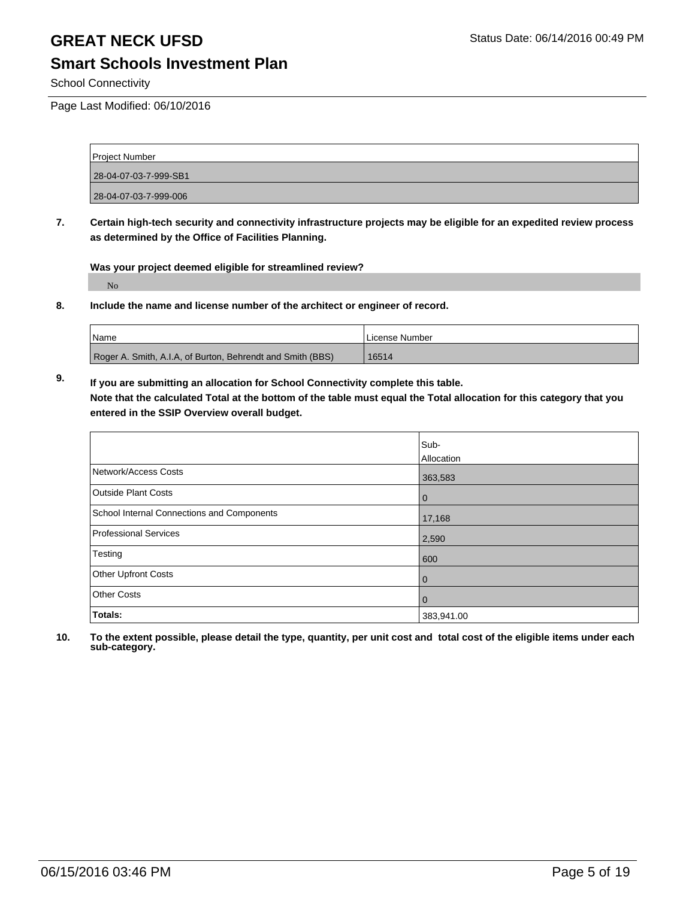### **Smart Schools Investment Plan**

School Connectivity

Page Last Modified: 06/10/2016

| Project Number        |  |
|-----------------------|--|
| 28-04-07-03-7-999-SB1 |  |
| 28-04-07-03-7-999-006 |  |

**7. Certain high-tech security and connectivity infrastructure projects may be eligible for an expedited review process as determined by the Office of Facilities Planning.**

**Was your project deemed eligible for streamlined review?**

No

**8. Include the name and license number of the architect or engineer of record.**

| <b>Name</b>                                                | License Number |
|------------------------------------------------------------|----------------|
| Roger A. Smith, A.I.A, of Burton, Behrendt and Smith (BBS) | 16514          |

**9. If you are submitting an allocation for School Connectivity complete this table. Note that the calculated Total at the bottom of the table must equal the Total allocation for this category that you entered in the SSIP Overview overall budget.** 

|                                            | Sub-       |
|--------------------------------------------|------------|
|                                            | Allocation |
| Network/Access Costs                       | 363,583    |
| <b>Outside Plant Costs</b>                 | 0          |
| School Internal Connections and Components | 17,168     |
| Professional Services                      | 2,590      |
| Testing                                    | 600        |
| <b>Other Upfront Costs</b>                 | 0          |
| <b>Other Costs</b>                         | 0          |
| Totals:                                    | 383,941.00 |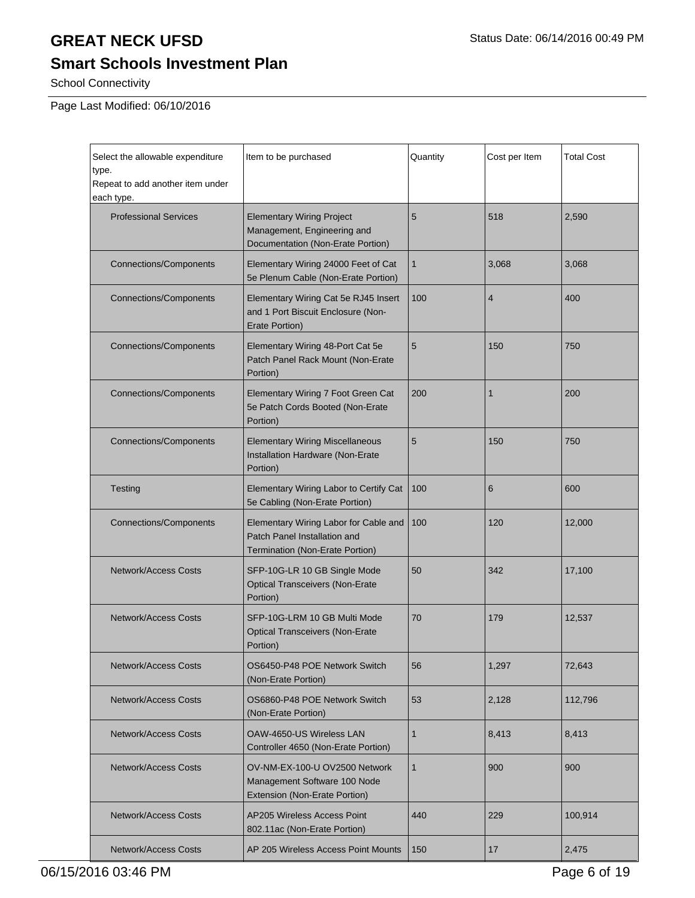# **Smart Schools Investment Plan**

School Connectivity

Page Last Modified: 06/10/2016

| Select the allowable expenditure<br>type.<br>Repeat to add another item under<br>each type. | Item to be purchased                                                                                     | Quantity     | Cost per Item  | <b>Total Cost</b> |
|---------------------------------------------------------------------------------------------|----------------------------------------------------------------------------------------------------------|--------------|----------------|-------------------|
| <b>Professional Services</b>                                                                | <b>Elementary Wiring Project</b><br>Management, Engineering and<br>Documentation (Non-Erate Portion)     | 5            | 518            | 2,590             |
| <b>Connections/Components</b>                                                               | Elementary Wiring 24000 Feet of Cat<br>5e Plenum Cable (Non-Erate Portion)                               | $\mathbf{1}$ | 3,068          | 3,068             |
| <b>Connections/Components</b>                                                               | Elementary Wiring Cat 5e RJ45 Insert<br>and 1 Port Biscuit Enclosure (Non-<br>Erate Portion)             | 100          | $\overline{4}$ | 400               |
| <b>Connections/Components</b>                                                               | Elementary Wiring 48-Port Cat 5e<br>Patch Panel Rack Mount (Non-Erate<br>Portion)                        | 5            | 150            | 750               |
| <b>Connections/Components</b>                                                               | Elementary Wiring 7 Foot Green Cat<br>5e Patch Cords Booted (Non-Erate<br>Portion)                       | 200          | 1              | 200               |
| <b>Connections/Components</b>                                                               | <b>Elementary Wiring Miscellaneous</b><br>Installation Hardware (Non-Erate<br>Portion)                   | 5            | 150            | 750               |
| Testing                                                                                     | Elementary Wiring Labor to Certify Cat<br>5e Cabling (Non-Erate Portion)                                 | 100          | 6              | 600               |
| <b>Connections/Components</b>                                                               | Elementary Wiring Labor for Cable and<br>Patch Panel Installation and<br>Termination (Non-Erate Portion) | 100          | 120            | 12,000            |
| <b>Network/Access Costs</b>                                                                 | SFP-10G-LR 10 GB Single Mode<br><b>Optical Transceivers (Non-Erate</b><br>Portion)                       | 50           | 342            | 17,100            |
| <b>Network/Access Costs</b>                                                                 | SFP-10G-LRM 10 GB Multi Mode<br>70<br><b>Optical Transceivers (Non-Erate</b><br>Portion)                 |              | 179            | 12,537            |
| <b>Network/Access Costs</b>                                                                 | OS6450-P48 POE Network Switch<br>(Non-Erate Portion)                                                     | 56           | 1,297          | 72,643            |
| <b>Network/Access Costs</b>                                                                 | OS6860-P48 POE Network Switch<br>(Non-Erate Portion)                                                     | 53           | 2,128          | 112,796           |
| <b>Network/Access Costs</b>                                                                 | OAW-4650-US Wireless LAN<br>Controller 4650 (Non-Erate Portion)                                          | 1            | 8,413          | 8,413             |
| <b>Network/Access Costs</b>                                                                 | OV-NM-EX-100-U OV2500 Network<br>Management Software 100 Node<br>Extension (Non-Erate Portion)           | $\mathbf{1}$ | 900            | 900               |
| <b>Network/Access Costs</b>                                                                 | <b>AP205 Wireless Access Point</b><br>802.11ac (Non-Erate Portion)                                       | 440          | 229            | 100,914           |
| <b>Network/Access Costs</b><br>AP 205 Wireless Access Point Mounts                          |                                                                                                          | 150          | 17             | 2,475             |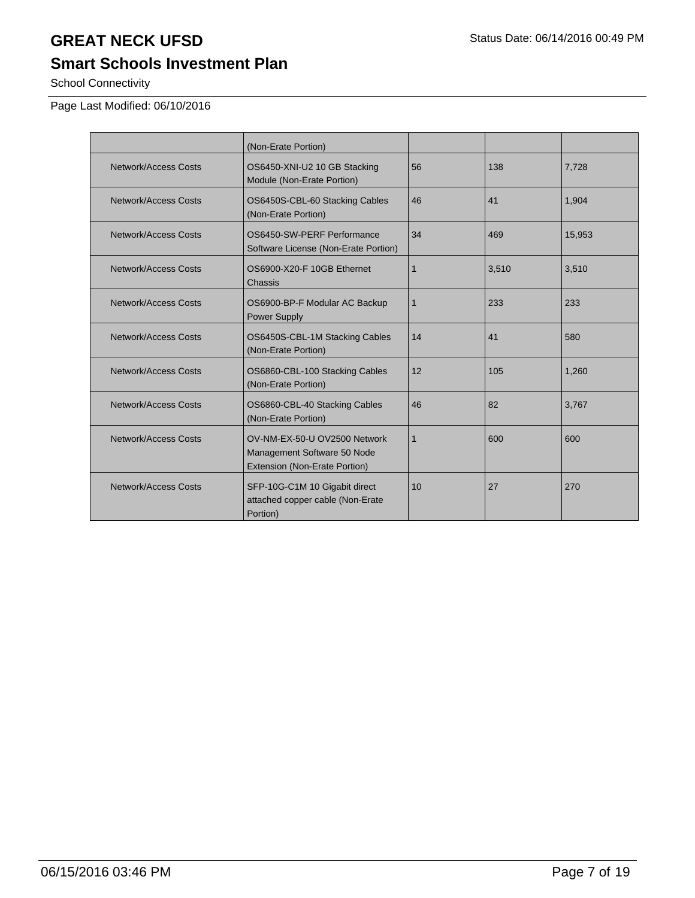### **Smart Schools Investment Plan**

School Connectivity

Page Last Modified: 06/10/2016

|                      | (Non-Erate Portion)                                                                          |             |       |        |
|----------------------|----------------------------------------------------------------------------------------------|-------------|-------|--------|
| Network/Access Costs | OS6450-XNI-U2 10 GB Stacking<br>Module (Non-Erate Portion)                                   | 56          | 138   | 7,728  |
| Network/Access Costs | OS6450S-CBL-60 Stacking Cables<br>(Non-Erate Portion)                                        | 46          | 41    | 1,904  |
| Network/Access Costs | OS6450-SW-PERF Performance<br>Software License (Non-Erate Portion)                           | 34          | 469   | 15,953 |
| Network/Access Costs | OS6900-X20-F 10GB Ethernet<br>Chassis                                                        | 1           | 3,510 | 3,510  |
| Network/Access Costs | OS6900-BP-F Modular AC Backup<br><b>Power Supply</b>                                         | $\mathbf 1$ | 233   | 233    |
| Network/Access Costs | OS6450S-CBL-1M Stacking Cables<br>(Non-Erate Portion)                                        | 14          | 41    | 580    |
| Network/Access Costs | OS6860-CBL-100 Stacking Cables<br>(Non-Erate Portion)                                        | 12          | 105   | 1,260  |
| Network/Access Costs | OS6860-CBL-40 Stacking Cables<br>(Non-Erate Portion)                                         | 46          | 82    | 3,767  |
| Network/Access Costs | OV-NM-EX-50-U OV2500 Network<br>Management Software 50 Node<br>Extension (Non-Erate Portion) | 1           | 600   | 600    |
| Network/Access Costs | SFP-10G-C1M 10 Gigabit direct<br>attached copper cable (Non-Erate<br>Portion)                | 10          | 27    | 270    |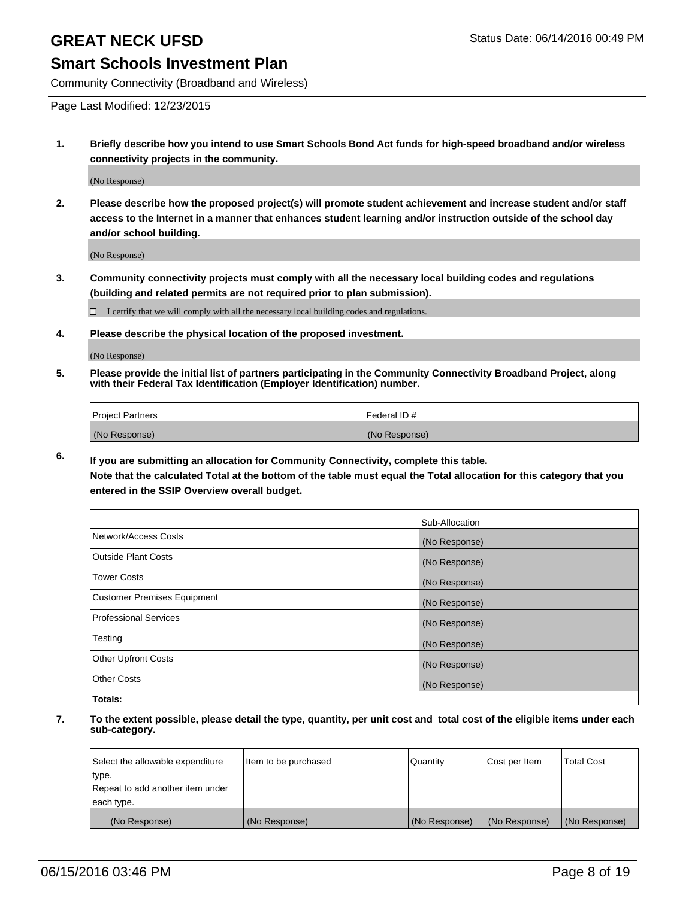### **Smart Schools Investment Plan**

Community Connectivity (Broadband and Wireless)

Page Last Modified: 12/23/2015

**1. Briefly describe how you intend to use Smart Schools Bond Act funds for high-speed broadband and/or wireless connectivity projects in the community.**

(No Response)

**2. Please describe how the proposed project(s) will promote student achievement and increase student and/or staff access to the Internet in a manner that enhances student learning and/or instruction outside of the school day and/or school building.**

(No Response)

**3. Community connectivity projects must comply with all the necessary local building codes and regulations (building and related permits are not required prior to plan submission).**

 $\Box$  I certify that we will comply with all the necessary local building codes and regulations.

**4. Please describe the physical location of the proposed investment.**

(No Response)

**5. Please provide the initial list of partners participating in the Community Connectivity Broadband Project, along with their Federal Tax Identification (Employer Identification) number.**

| Project Partners | <b>IFederal ID#</b> |
|------------------|---------------------|
| (No Response)    | (No Response)       |

**6. If you are submitting an allocation for Community Connectivity, complete this table.**

**Note that the calculated Total at the bottom of the table must equal the Total allocation for this category that you entered in the SSIP Overview overall budget.**

|                             | Sub-Allocation |
|-----------------------------|----------------|
| Network/Access Costs        | (No Response)  |
| Outside Plant Costs         | (No Response)  |
| <b>Tower Costs</b>          | (No Response)  |
| Customer Premises Equipment | (No Response)  |
| Professional Services       | (No Response)  |
| Testing                     | (No Response)  |
| Other Upfront Costs         | (No Response)  |
| Other Costs                 | (No Response)  |
| Totals:                     |                |

| Select the allowable expenditure | Item to be purchased | Quantity      | Cost per Item | <b>Total Cost</b> |
|----------------------------------|----------------------|---------------|---------------|-------------------|
| type.                            |                      |               |               |                   |
| Repeat to add another item under |                      |               |               |                   |
| each type.                       |                      |               |               |                   |
| (No Response)                    | (No Response)        | (No Response) | (No Response) | (No Response)     |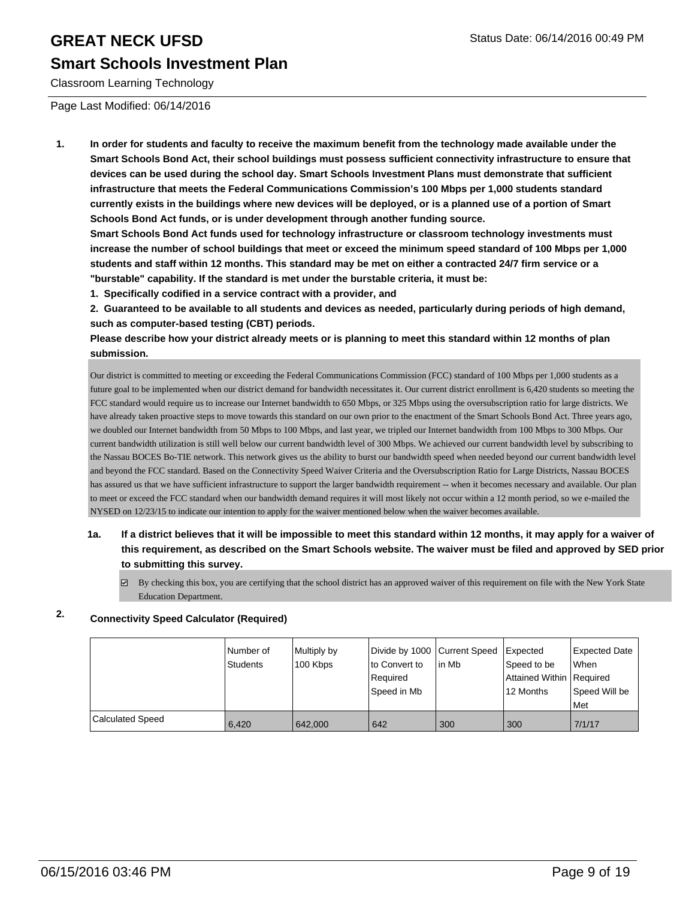### **Smart Schools Investment Plan**

Classroom Learning Technology

Page Last Modified: 06/14/2016

**1. In order for students and faculty to receive the maximum benefit from the technology made available under the Smart Schools Bond Act, their school buildings must possess sufficient connectivity infrastructure to ensure that devices can be used during the school day. Smart Schools Investment Plans must demonstrate that sufficient infrastructure that meets the Federal Communications Commission's 100 Mbps per 1,000 students standard currently exists in the buildings where new devices will be deployed, or is a planned use of a portion of Smart Schools Bond Act funds, or is under development through another funding source.**

**Smart Schools Bond Act funds used for technology infrastructure or classroom technology investments must increase the number of school buildings that meet or exceed the minimum speed standard of 100 Mbps per 1,000 students and staff within 12 months. This standard may be met on either a contracted 24/7 firm service or a "burstable" capability. If the standard is met under the burstable criteria, it must be:**

**1. Specifically codified in a service contract with a provider, and**

**2. Guaranteed to be available to all students and devices as needed, particularly during periods of high demand, such as computer-based testing (CBT) periods.**

**Please describe how your district already meets or is planning to meet this standard within 12 months of plan submission.**

Our district is committed to meeting or exceeding the Federal Communications Commission (FCC) standard of 100 Mbps per 1,000 students as a future goal to be implemented when our district demand for bandwidth necessitates it. Our current district enrollment is 6,420 students so meeting the FCC standard would require us to increase our Internet bandwidth to 650 Mbps, or 325 Mbps using the oversubscription ratio for large districts. We have already taken proactive steps to move towards this standard on our own prior to the enactment of the Smart Schools Bond Act. Three years ago, we doubled our Internet bandwidth from 50 Mbps to 100 Mbps, and last year, we tripled our Internet bandwidth from 100 Mbps to 300 Mbps. Our current bandwidth utilization is still well below our current bandwidth level of 300 Mbps. We achieved our current bandwidth level by subscribing to the Nassau BOCES Bo-TIE network. This network gives us the ability to burst our bandwidth speed when needed beyond our current bandwidth level and beyond the FCC standard. Based on the Connectivity Speed Waiver Criteria and the Oversubscription Ratio for Large Districts, Nassau BOCES has assured us that we have sufficient infrastructure to support the larger bandwidth requirement -- when it becomes necessary and available. Our plan to meet or exceed the FCC standard when our bandwidth demand requires it will most likely not occur within a 12 month period, so we e-mailed the NYSED on 12/23/15 to indicate our intention to apply for the waiver mentioned below when the waiver becomes available.

### **1a. If a district believes that it will be impossible to meet this standard within 12 months, it may apply for a waiver of this requirement, as described on the Smart Schools website. The waiver must be filed and approved by SED prior to submitting this survey.**

 $\boxdot$  By checking this box, you are certifying that the school district has an approved waiver of this requirement on file with the New York State Education Department.

### **2. Connectivity Speed Calculator (Required)**

|                         | l Number of<br>Students | Multiply by<br>100 Kbps | Divide by 1000 Current Speed<br>to Convert to<br>Required<br>Speed in Mb | lin Mb | <b>Expected</b><br>Speed to be<br>Attained Within Required<br>12 Months | <b>Expected Date</b><br>l When<br>Speed Will be<br>l Met |
|-------------------------|-------------------------|-------------------------|--------------------------------------------------------------------------|--------|-------------------------------------------------------------------------|----------------------------------------------------------|
| <b>Calculated Speed</b> | 6.420                   | 642,000                 | 642                                                                      | 300    | 300                                                                     | 7/1/17                                                   |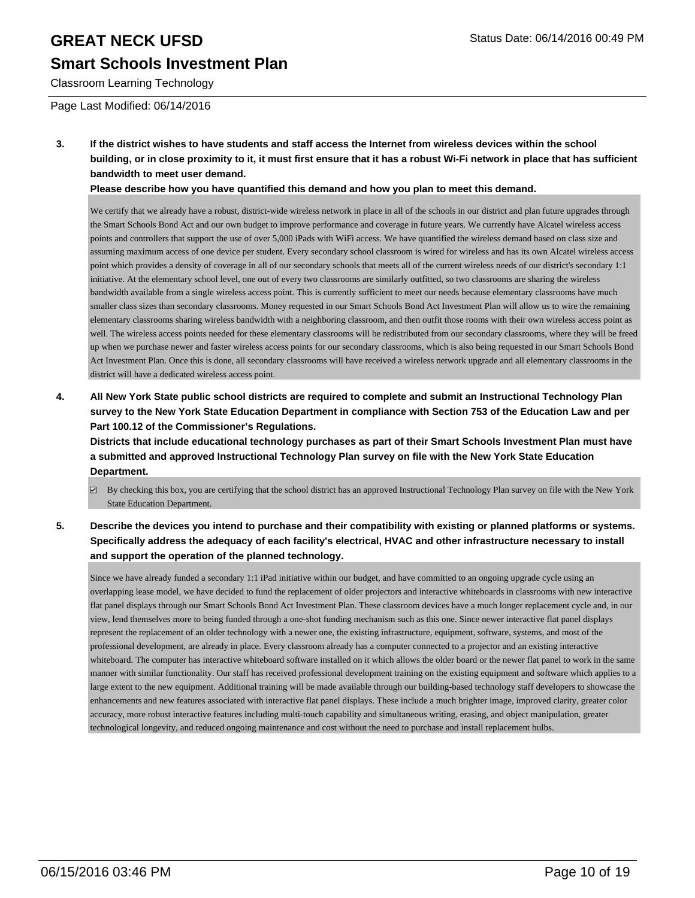Classroom Learning Technology

### Page Last Modified: 06/14/2016

**3. If the district wishes to have students and staff access the Internet from wireless devices within the school building, or in close proximity to it, it must first ensure that it has a robust Wi-Fi network in place that has sufficient bandwidth to meet user demand.**

**Please describe how you have quantified this demand and how you plan to meet this demand.**

We certify that we already have a robust, district-wide wireless network in place in all of the schools in our district and plan future upgrades through the Smart Schools Bond Act and our own budget to improve performance and coverage in future years. We currently have Alcatel wireless access points and controllers that support the use of over 5,000 iPads with WiFi access. We have quantified the wireless demand based on class size and assuming maximum access of one device per student. Every secondary school classroom is wired for wireless and has its own Alcatel wireless access point which provides a density of coverage in all of our secondary schools that meets all of the current wireless needs of our district's secondary 1:1 initiative. At the elementary school level, one out of every two classrooms are similarly outfitted, so two classrooms are sharing the wireless bandwidth available from a single wireless access point. This is currently sufficient to meet our needs because elementary classrooms have much smaller class sizes than secondary classrooms. Money requested in our Smart Schools Bond Act Investment Plan will allow us to wire the remaining elementary classrooms sharing wireless bandwidth with a neighboring classroom, and then outfit those rooms with their own wireless access point as well. The wireless access points needed for these elementary classrooms will be redistributed from our secondary classrooms, where they will be freed up when we purchase newer and faster wireless access points for our secondary classrooms, which is also being requested in our Smart Schools Bond Act Investment Plan. Once this is done, all secondary classrooms will have received a wireless network upgrade and all elementary classrooms in the district will have a dedicated wireless access point.

**4. All New York State public school districts are required to complete and submit an Instructional Technology Plan survey to the New York State Education Department in compliance with Section 753 of the Education Law and per Part 100.12 of the Commissioner's Regulations.**

**Districts that include educational technology purchases as part of their Smart Schools Investment Plan must have a submitted and approved Instructional Technology Plan survey on file with the New York State Education Department.**

- By checking this box, you are certifying that the school district has an approved Instructional Technology Plan survey on file with the New York State Education Department.
- **5. Describe the devices you intend to purchase and their compatibility with existing or planned platforms or systems. Specifically address the adequacy of each facility's electrical, HVAC and other infrastructure necessary to install and support the operation of the planned technology.**

Since we have already funded a secondary 1:1 iPad initiative within our budget, and have committed to an ongoing upgrade cycle using an overlapping lease model, we have decided to fund the replacement of older projectors and interactive whiteboards in classrooms with new interactive flat panel displays through our Smart Schools Bond Act Investment Plan. These classroom devices have a much longer replacement cycle and, in our view, lend themselves more to being funded through a one-shot funding mechanism such as this one. Since newer interactive flat panel displays represent the replacement of an older technology with a newer one, the existing infrastructure, equipment, software, systems, and most of the professional development, are already in place. Every classroom already has a computer connected to a projector and an existing interactive whiteboard. The computer has interactive whiteboard software installed on it which allows the older board or the newer flat panel to work in the same manner with similar functionality. Our staff has received professional development training on the existing equipment and software which applies to a large extent to the new equipment. Additional training will be made available through our building-based technology staff developers to showcase the enhancements and new features associated with interactive flat panel displays. These include a much brighter image, improved clarity, greater color accuracy, more robust interactive features including multi-touch capability and simultaneous writing, erasing, and object manipulation, greater technological longevity, and reduced ongoing maintenance and cost without the need to purchase and install replacement bulbs.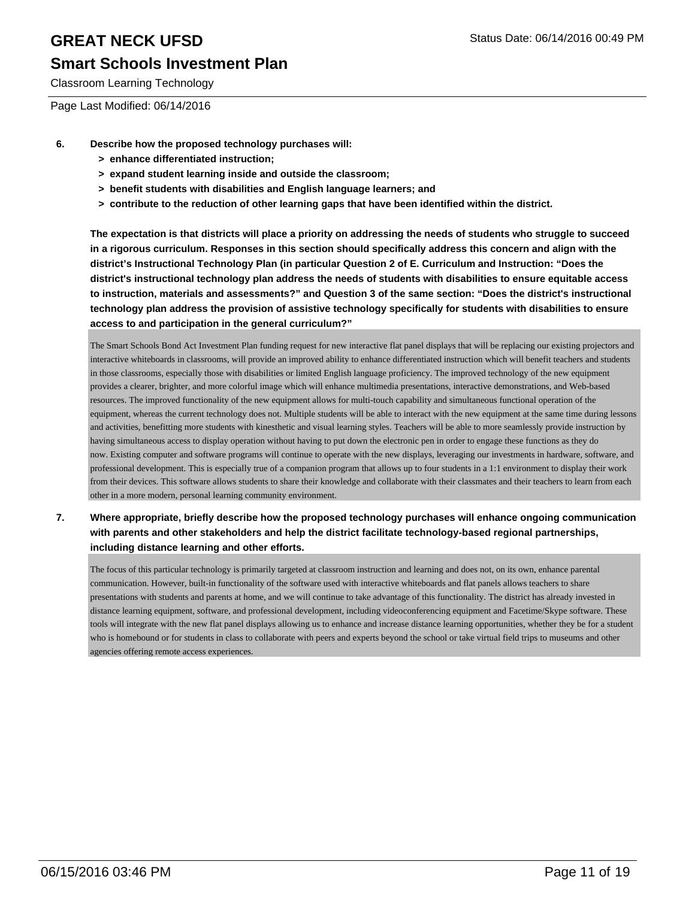### **Smart Schools Investment Plan**

Classroom Learning Technology

Page Last Modified: 06/14/2016

- **6. Describe how the proposed technology purchases will:**
	- **> enhance differentiated instruction;**
	- **> expand student learning inside and outside the classroom;**
	- **> benefit students with disabilities and English language learners; and**
	- **> contribute to the reduction of other learning gaps that have been identified within the district.**

**The expectation is that districts will place a priority on addressing the needs of students who struggle to succeed in a rigorous curriculum. Responses in this section should specifically address this concern and align with the district's Instructional Technology Plan (in particular Question 2 of E. Curriculum and Instruction: "Does the district's instructional technology plan address the needs of students with disabilities to ensure equitable access to instruction, materials and assessments?" and Question 3 of the same section: "Does the district's instructional technology plan address the provision of assistive technology specifically for students with disabilities to ensure access to and participation in the general curriculum?"**

The Smart Schools Bond Act Investment Plan funding request for new interactive flat panel displays that will be replacing our existing projectors and interactive whiteboards in classrooms, will provide an improved ability to enhance differentiated instruction which will benefit teachers and students in those classrooms, especially those with disabilities or limited English language proficiency. The improved technology of the new equipment provides a clearer, brighter, and more colorful image which will enhance multimedia presentations, interactive demonstrations, and Web-based resources. The improved functionality of the new equipment allows for multi-touch capability and simultaneous functional operation of the equipment, whereas the current technology does not. Multiple students will be able to interact with the new equipment at the same time during lessons and activities, benefitting more students with kinesthetic and visual learning styles. Teachers will be able to more seamlessly provide instruction by having simultaneous access to display operation without having to put down the electronic pen in order to engage these functions as they do now. Existing computer and software programs will continue to operate with the new displays, leveraging our investments in hardware, software, and professional development. This is especially true of a companion program that allows up to four students in a 1:1 environment to display their work from their devices. This software allows students to share their knowledge and collaborate with their classmates and their teachers to learn from each other in a more modern, personal learning community environment.

**7. Where appropriate, briefly describe how the proposed technology purchases will enhance ongoing communication with parents and other stakeholders and help the district facilitate technology-based regional partnerships, including distance learning and other efforts.**

The focus of this particular technology is primarily targeted at classroom instruction and learning and does not, on its own, enhance parental communication. However, built-in functionality of the software used with interactive whiteboards and flat panels allows teachers to share presentations with students and parents at home, and we will continue to take advantage of this functionality. The district has already invested in distance learning equipment, software, and professional development, including videoconferencing equipment and Facetime/Skype software. These tools will integrate with the new flat panel displays allowing us to enhance and increase distance learning opportunities, whether they be for a student who is homebound or for students in class to collaborate with peers and experts beyond the school or take virtual field trips to museums and other agencies offering remote access experiences.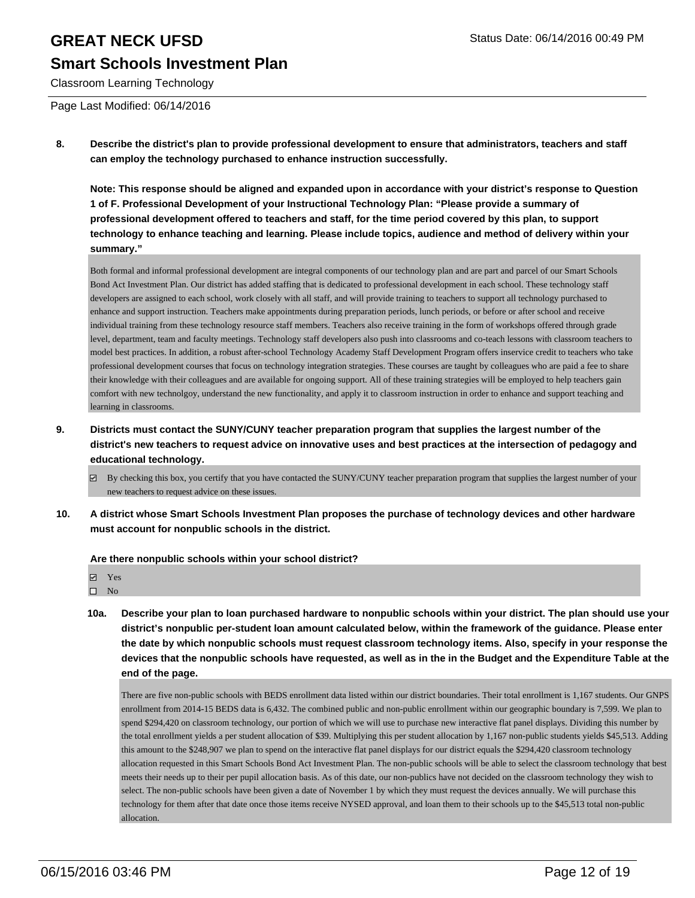Classroom Learning Technology

Page Last Modified: 06/14/2016

**8. Describe the district's plan to provide professional development to ensure that administrators, teachers and staff can employ the technology purchased to enhance instruction successfully.**

**Note: This response should be aligned and expanded upon in accordance with your district's response to Question 1 of F. Professional Development of your Instructional Technology Plan: "Please provide a summary of professional development offered to teachers and staff, for the time period covered by this plan, to support technology to enhance teaching and learning. Please include topics, audience and method of delivery within your summary."**

Both formal and informal professional development are integral components of our technology plan and are part and parcel of our Smart Schools Bond Act Investment Plan. Our district has added staffing that is dedicated to professional development in each school. These technology staff developers are assigned to each school, work closely with all staff, and will provide training to teachers to support all technology purchased to enhance and support instruction. Teachers make appointments during preparation periods, lunch periods, or before or after school and receive individual training from these technology resource staff members. Teachers also receive training in the form of workshops offered through grade level, department, team and faculty meetings. Technology staff developers also push into classrooms and co-teach lessons with classroom teachers to model best practices. In addition, a robust after-school Technology Academy Staff Development Program offers inservice credit to teachers who take professional development courses that focus on technology integration strategies. These courses are taught by colleagues who are paid a fee to share their knowledge with their colleagues and are available for ongoing support. All of these training strategies will be employed to help teachers gain comfort with new technolgoy, understand the new functionality, and apply it to classroom instruction in order to enhance and support teaching and learning in classrooms.

- **9. Districts must contact the SUNY/CUNY teacher preparation program that supplies the largest number of the district's new teachers to request advice on innovative uses and best practices at the intersection of pedagogy and educational technology.**
	- By checking this box, you certify that you have contacted the SUNY/CUNY teacher preparation program that supplies the largest number of your new teachers to request advice on these issues.
- **10. A district whose Smart Schools Investment Plan proposes the purchase of technology devices and other hardware must account for nonpublic schools in the district.**

**Are there nonpublic schools within your school district?**

- **Ø** Yes
- $\square$  No
- **10a. Describe your plan to loan purchased hardware to nonpublic schools within your district. The plan should use your district's nonpublic per-student loan amount calculated below, within the framework of the guidance. Please enter the date by which nonpublic schools must request classroom technology items. Also, specify in your response the devices that the nonpublic schools have requested, as well as in the in the Budget and the Expenditure Table at the end of the page.**

There are five non-public schools with BEDS enrollment data listed within our district boundaries. Their total enrollment is 1,167 students. Our GNPS enrollment from 2014-15 BEDS data is 6,432. The combined public and non-public enrollment within our geographic boundary is 7,599. We plan to spend \$294,420 on classroom technology, our portion of which we will use to purchase new interactive flat panel displays. Dividing this number by the total enrollment yields a per student allocation of \$39. Multiplying this per student allocation by 1,167 non-public students yields \$45,513. Adding this amount to the \$248,907 we plan to spend on the interactive flat panel displays for our district equals the \$294,420 classroom technology allocation requested in this Smart Schools Bond Act Investment Plan. The non-public schools will be able to select the classroom technology that best meets their needs up to their per pupil allocation basis. As of this date, our non-publics have not decided on the classroom technology they wish to select. The non-public schools have been given a date of November 1 by which they must request the devices annually. We will purchase this technology for them after that date once those items receive NYSED approval, and loan them to their schools up to the \$45,513 total non-public allocation.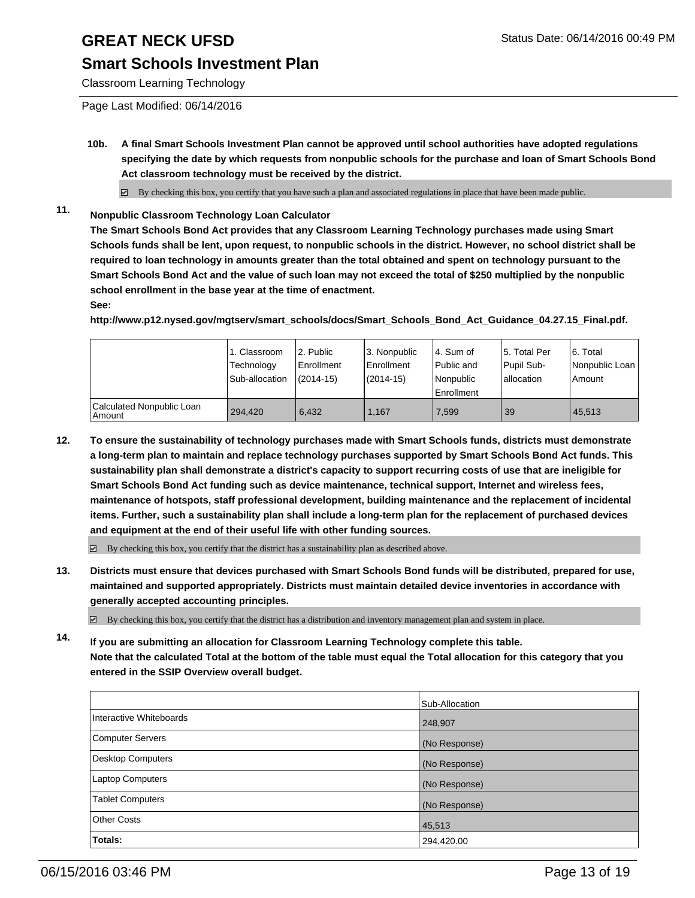### **Smart Schools Investment Plan**

Classroom Learning Technology

Page Last Modified: 06/14/2016

**10b. A final Smart Schools Investment Plan cannot be approved until school authorities have adopted regulations specifying the date by which requests from nonpublic schools for the purchase and loan of Smart Schools Bond Act classroom technology must be received by the district.**

 $\boxtimes$  By checking this box, you certify that you have such a plan and associated regulations in place that have been made public.

**11. Nonpublic Classroom Technology Loan Calculator**

**The Smart Schools Bond Act provides that any Classroom Learning Technology purchases made using Smart Schools funds shall be lent, upon request, to nonpublic schools in the district. However, no school district shall be required to loan technology in amounts greater than the total obtained and spent on technology pursuant to the Smart Schools Bond Act and the value of such loan may not exceed the total of \$250 multiplied by the nonpublic school enrollment in the base year at the time of enactment.**

#### **See:**

**http://www.p12.nysed.gov/mgtserv/smart\_schools/docs/Smart\_Schools\_Bond\_Act\_Guidance\_04.27.15\_Final.pdf.**

|                                       | 1. Classroom<br>Technology<br>Sub-allocation | 2. Public<br>Enrollment<br>$(2014-15)$ | 3. Nonpublic<br>Enrollment<br>$(2014 - 15)$ | l 4. Sum of<br>l Public and<br>l Nonpublic<br><b>Enrollment</b> | 5. Total Per<br>Pupil Sub-<br>I allocation | 6. Total<br>Nonpublic Loan<br>Amount |
|---------------------------------------|----------------------------------------------|----------------------------------------|---------------------------------------------|-----------------------------------------------------------------|--------------------------------------------|--------------------------------------|
| Calculated Nonpublic Loan<br>  Amount | 294.420                                      | 6.432                                  | 1.167                                       | 7.599                                                           | 39                                         | 45.513                               |

**12. To ensure the sustainability of technology purchases made with Smart Schools funds, districts must demonstrate a long-term plan to maintain and replace technology purchases supported by Smart Schools Bond Act funds. This sustainability plan shall demonstrate a district's capacity to support recurring costs of use that are ineligible for Smart Schools Bond Act funding such as device maintenance, technical support, Internet and wireless fees, maintenance of hotspots, staff professional development, building maintenance and the replacement of incidental items. Further, such a sustainability plan shall include a long-term plan for the replacement of purchased devices and equipment at the end of their useful life with other funding sources.**

 $\boxdot$  By checking this box, you certify that the district has a sustainability plan as described above.

**13. Districts must ensure that devices purchased with Smart Schools Bond funds will be distributed, prepared for use, maintained and supported appropriately. Districts must maintain detailed device inventories in accordance with generally accepted accounting principles.**

 $\boxtimes$  By checking this box, you certify that the district has a distribution and inventory management plan and system in place.

**14. If you are submitting an allocation for Classroom Learning Technology complete this table. Note that the calculated Total at the bottom of the table must equal the Total allocation for this category that you entered in the SSIP Overview overall budget.**

|                         | Sub-Allocation |
|-------------------------|----------------|
| Interactive Whiteboards | 248,907        |
| Computer Servers        | (No Response)  |
| Desktop Computers       | (No Response)  |
| <b>Laptop Computers</b> | (No Response)  |
| <b>Tablet Computers</b> | (No Response)  |
| Other Costs             | 45,513         |
| Totals:                 | 294,420.00     |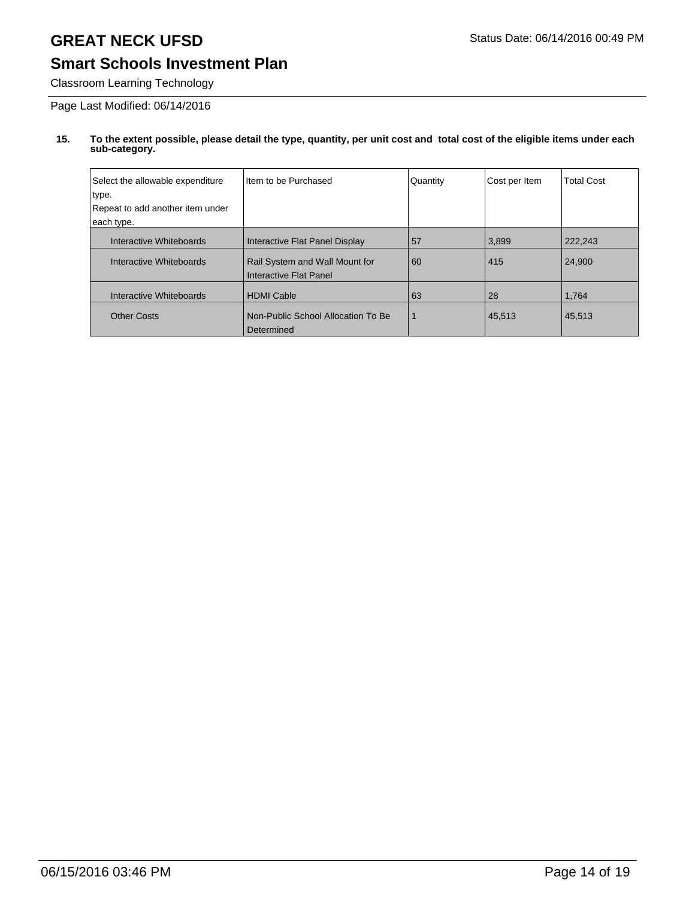### **Smart Schools Investment Plan**

Classroom Learning Technology

Page Last Modified: 06/14/2016

| Select the allowable expenditure<br>type.<br>Repeat to add another item under<br>each type. | Item to be Purchased                                                                       | Quantity | Cost per Item | <b>Total Cost</b> |
|---------------------------------------------------------------------------------------------|--------------------------------------------------------------------------------------------|----------|---------------|-------------------|
| Interactive Whiteboards<br>Interactive Whiteboards                                          | Interactive Flat Panel Display<br>Rail System and Wall Mount for<br>Interactive Flat Panel | 57<br>60 | 3,899<br>415  | 222.243<br>24.900 |
| Interactive Whiteboards                                                                     | <b>HDMI Cable</b>                                                                          | 63       | 28            | 1,764             |
| <b>Other Costs</b>                                                                          | Non-Public School Allocation To Be<br>Determined                                           | 1        | 45,513        | 45,513            |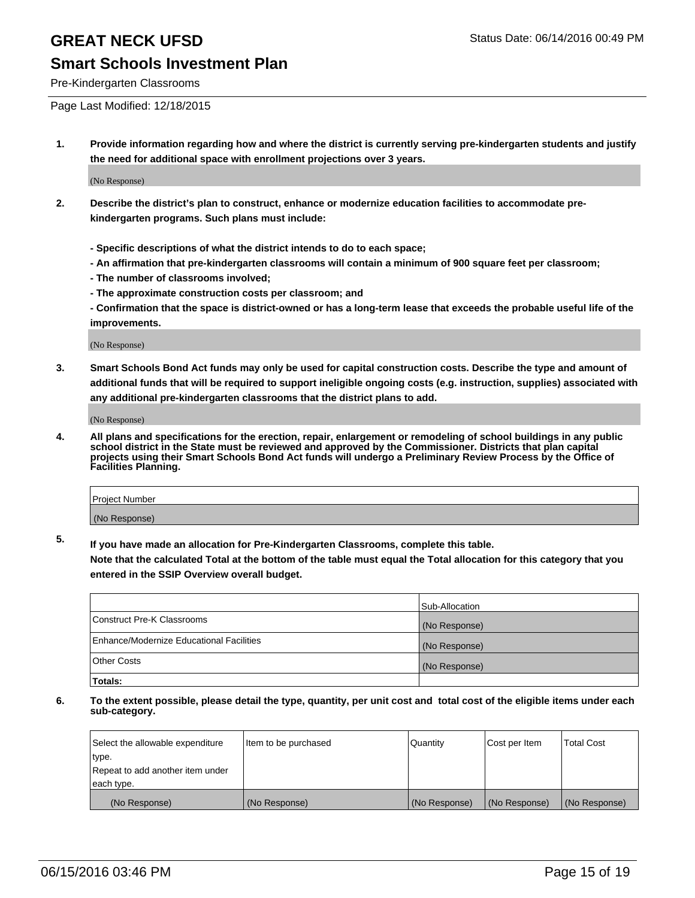### **Smart Schools Investment Plan**

Pre-Kindergarten Classrooms

Page Last Modified: 12/18/2015

**1. Provide information regarding how and where the district is currently serving pre-kindergarten students and justify the need for additional space with enrollment projections over 3 years.**

(No Response)

- **2. Describe the district's plan to construct, enhance or modernize education facilities to accommodate prekindergarten programs. Such plans must include:**
	- **Specific descriptions of what the district intends to do to each space;**
	- **An affirmation that pre-kindergarten classrooms will contain a minimum of 900 square feet per classroom;**
	- **The number of classrooms involved;**
	- **The approximate construction costs per classroom; and**
	- **Confirmation that the space is district-owned or has a long-term lease that exceeds the probable useful life of the improvements.**

(No Response)

**3. Smart Schools Bond Act funds may only be used for capital construction costs. Describe the type and amount of additional funds that will be required to support ineligible ongoing costs (e.g. instruction, supplies) associated with any additional pre-kindergarten classrooms that the district plans to add.**

(No Response)

**4. All plans and specifications for the erection, repair, enlargement or remodeling of school buildings in any public school district in the State must be reviewed and approved by the Commissioner. Districts that plan capital projects using their Smart Schools Bond Act funds will undergo a Preliminary Review Process by the Office of Facilities Planning.**

| <b>Project Number</b> |  |
|-----------------------|--|
| (No Response)         |  |

**5. If you have made an allocation for Pre-Kindergarten Classrooms, complete this table.**

**Note that the calculated Total at the bottom of the table must equal the Total allocation for this category that you entered in the SSIP Overview overall budget.**

|                                          | Sub-Allocation |
|------------------------------------------|----------------|
| Construct Pre-K Classrooms               | (No Response)  |
| Enhance/Modernize Educational Facilities | (No Response)  |
| Other Costs                              | (No Response)  |
| Totals:                                  |                |

| Select the allowable expenditure | Item to be purchased | Quantity      | Cost per Item | <b>Total Cost</b> |
|----------------------------------|----------------------|---------------|---------------|-------------------|
| type.                            |                      |               |               |                   |
| Repeat to add another item under |                      |               |               |                   |
| each type.                       |                      |               |               |                   |
| (No Response)                    | (No Response)        | (No Response) | (No Response) | (No Response)     |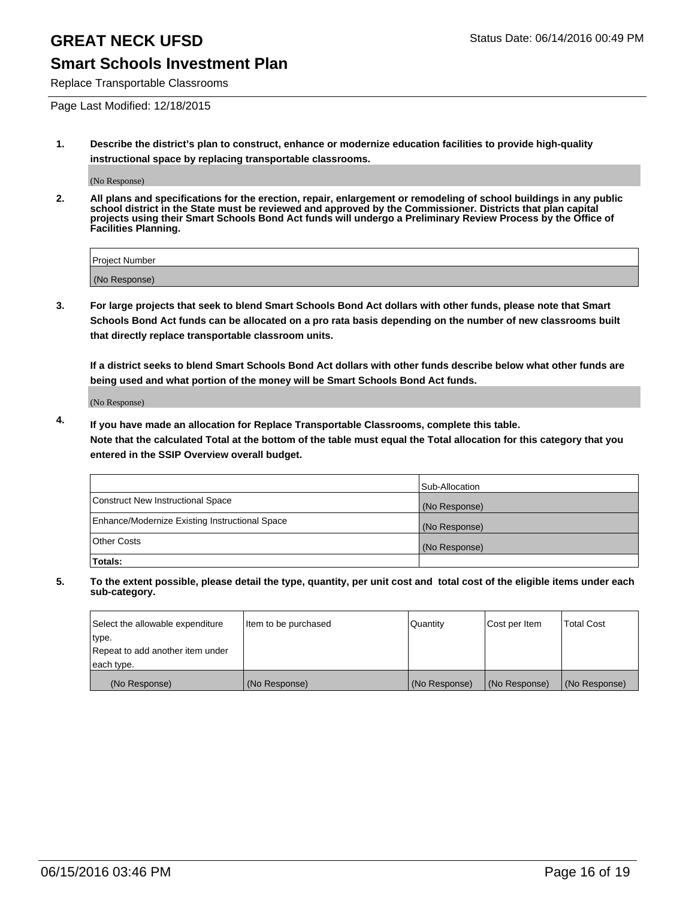### **Smart Schools Investment Plan**

Replace Transportable Classrooms

Page Last Modified: 12/18/2015

**1. Describe the district's plan to construct, enhance or modernize education facilities to provide high-quality instructional space by replacing transportable classrooms.**

(No Response)

**2. All plans and specifications for the erection, repair, enlargement or remodeling of school buildings in any public school district in the State must be reviewed and approved by the Commissioner. Districts that plan capital projects using their Smart Schools Bond Act funds will undergo a Preliminary Review Process by the Office of Facilities Planning.**

| <b>Project Number</b> |  |
|-----------------------|--|
| (No Response)         |  |

**3. For large projects that seek to blend Smart Schools Bond Act dollars with other funds, please note that Smart Schools Bond Act funds can be allocated on a pro rata basis depending on the number of new classrooms built that directly replace transportable classroom units.**

**If a district seeks to blend Smart Schools Bond Act dollars with other funds describe below what other funds are being used and what portion of the money will be Smart Schools Bond Act funds.**

(No Response)

**4. If you have made an allocation for Replace Transportable Classrooms, complete this table. Note that the calculated Total at the bottom of the table must equal the Total allocation for this category that you entered in the SSIP Overview overall budget.**

|                                                | Sub-Allocation |
|------------------------------------------------|----------------|
| Construct New Instructional Space              | (No Response)  |
| Enhance/Modernize Existing Instructional Space | (No Response)  |
| <b>Other Costs</b>                             | (No Response)  |
| Totals:                                        |                |

| Select the allowable expenditure | Item to be purchased | <b>Quantity</b> | Cost per Item | <b>Total Cost</b> |
|----------------------------------|----------------------|-----------------|---------------|-------------------|
| type.                            |                      |                 |               |                   |
| Repeat to add another item under |                      |                 |               |                   |
| each type.                       |                      |                 |               |                   |
| (No Response)                    | (No Response)        | (No Response)   | (No Response) | (No Response)     |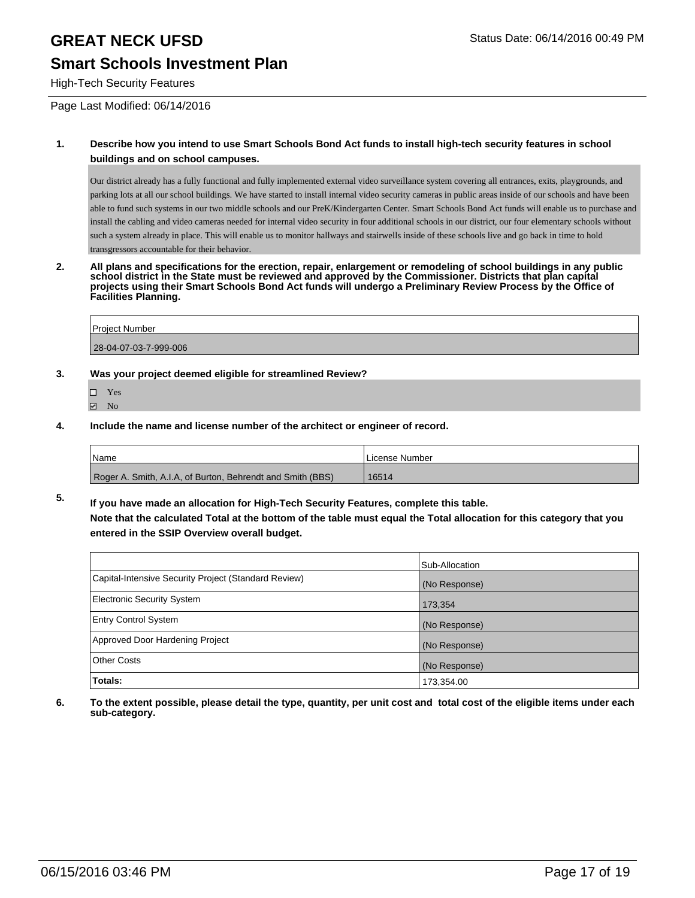### **Smart Schools Investment Plan**

#### High-Tech Security Features

Page Last Modified: 06/14/2016

#### **1. Describe how you intend to use Smart Schools Bond Act funds to install high-tech security features in school buildings and on school campuses.**

Our district already has a fully functional and fully implemented external video surveillance system covering all entrances, exits, playgrounds, and parking lots at all our school buildings. We have started to install internal video security cameras in public areas inside of our schools and have been able to fund such systems in our two middle schools and our PreK/Kindergarten Center. Smart Schools Bond Act funds will enable us to purchase and install the cabling and video cameras needed for internal video security in four additional schools in our district, our four elementary schools without such a system already in place. This will enable us to monitor hallways and stairwells inside of these schools live and go back in time to hold transgressors accountable for their behavior.

**2. All plans and specifications for the erection, repair, enlargement or remodeling of school buildings in any public school district in the State must be reviewed and approved by the Commissioner. Districts that plan capital projects using their Smart Schools Bond Act funds will undergo a Preliminary Review Process by the Office of Facilities Planning.** 

| <b>Project Number</b> |  |
|-----------------------|--|
| 28-04-07-03-7-999-006 |  |

- **3. Was your project deemed eligible for streamlined Review?**
	- Yes
	- **Ø** No
- **4. Include the name and license number of the architect or engineer of record.**

| <i>Name</i>                                                | <b>ILicense Number</b> |
|------------------------------------------------------------|------------------------|
| Roger A. Smith, A.I.A, of Burton, Behrendt and Smith (BBS) | 16514                  |

**5. If you have made an allocation for High-Tech Security Features, complete this table. Note that the calculated Total at the bottom of the table must equal the Total allocation for this category that you entered in the SSIP Overview overall budget.**

|                                                      | Sub-Allocation |
|------------------------------------------------------|----------------|
| Capital-Intensive Security Project (Standard Review) | (No Response)  |
| <b>Electronic Security System</b>                    | 173,354        |
| <b>Entry Control System</b>                          | (No Response)  |
| Approved Door Hardening Project                      | (No Response)  |
| <b>Other Costs</b>                                   | (No Response)  |
| Totals:                                              | 173,354.00     |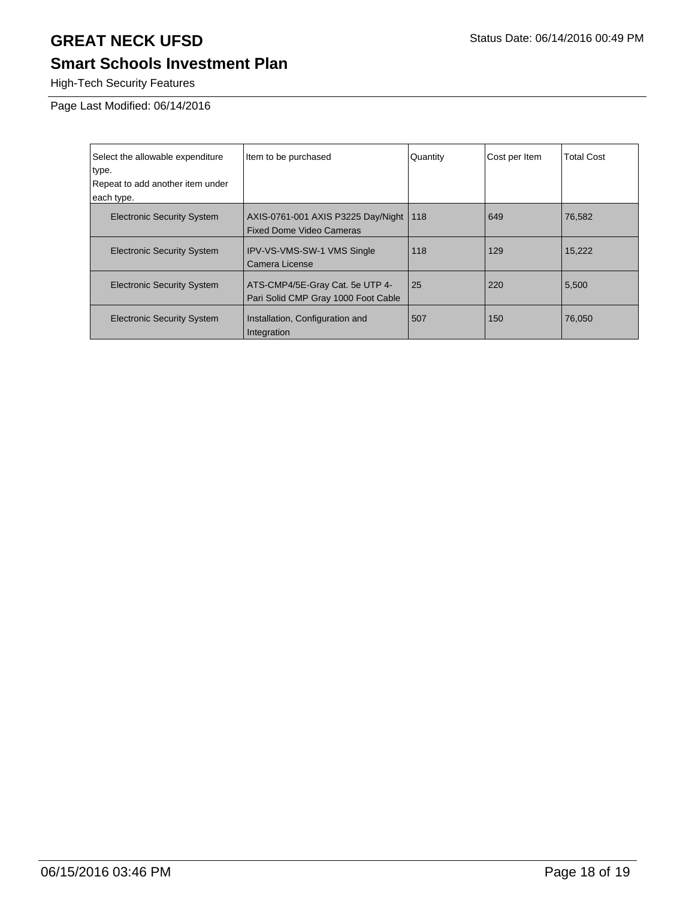# **Smart Schools Investment Plan**

High-Tech Security Features

Page Last Modified: 06/14/2016

| Select the allowable expenditure<br>type.<br>Repeat to add another item under<br>each type. | Item to be purchased                                                   | Quantity | Cost per Item | <b>Total Cost</b> |
|---------------------------------------------------------------------------------------------|------------------------------------------------------------------------|----------|---------------|-------------------|
| <b>Electronic Security System</b>                                                           | AXIS-0761-001 AXIS P3225 Day/Night<br><b>Fixed Dome Video Cameras</b>  | 118      | 649           | 76,582            |
| <b>Electronic Security System</b>                                                           | <b>IPV-VS-VMS-SW-1 VMS Single</b><br>Camera License                    | 118      | 129           | 15.222            |
| <b>Electronic Security System</b>                                                           | ATS-CMP4/5E-Gray Cat. 5e UTP 4-<br>Pari Solid CMP Gray 1000 Foot Cable | 25       | 220           | 5,500             |
| <b>Electronic Security System</b>                                                           | Installation, Configuration and<br>Integration                         | 507      | 150           | 76,050            |